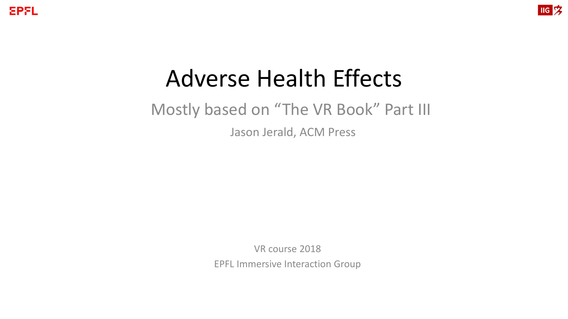**EPFL** 



## Adverse Health Effects

### Mostly based on "The VR Book" Part III

Jason Jerald, ACM Press

VR course 2018

EPFL Immersive Interaction Group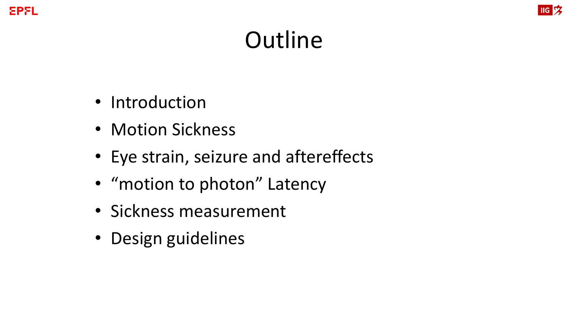

# **Outline**

- Introduction
- Motion Sickness
- Eye strain, seizure and aftereffects
- "motion to photon" Latency
- Sickness measurement
- Design guidelines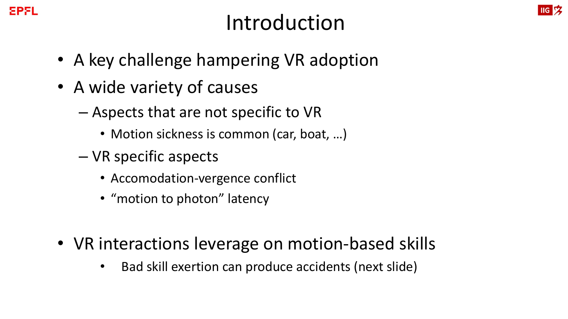## Introduction

- A key challenge hampering VR adoption
- A wide variety of causes
	- Aspects that are not specific to VR
		- Motion sickness is common (car, boat, ...)
	- VR specific aspects
		- Accomodation-vergence conflict
		- "motion to photon" latency
- VR interactions leverage on motion-based skills
	- Bad skill exertion can produce accidents (next slide)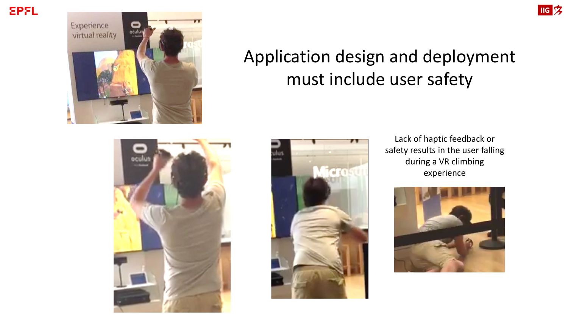



## Application design and deployment must include user safety





Lack of haptic feedback or safety results in the user falling during a VR climbing experience



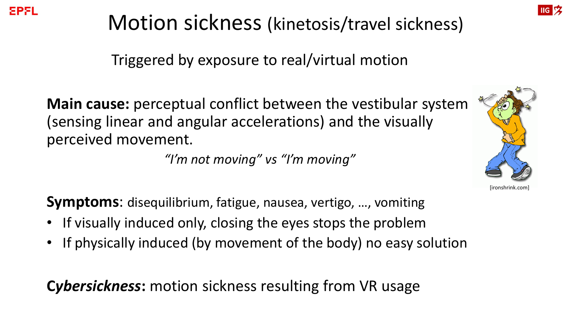[ironshrink.com]

## Motion sickness (kinetosis/travel sickness)

Triggered by exposure to real/virtual motion

**Main cause:** perceptual conflict between the vestibular system (sensing linear and angular accelerations) and the visually perceived movement.

*"I'm not moving" vs "I'm moving"*

**Symptoms**: disequilibrium, fatigue, nausea, vertigo, …, vomiting

- If visually induced only, closing the eyes stops the problem
- If physically induced (by movement of the body) no easy solution

**C***ybersickness***:** motion sickness resulting from VR usage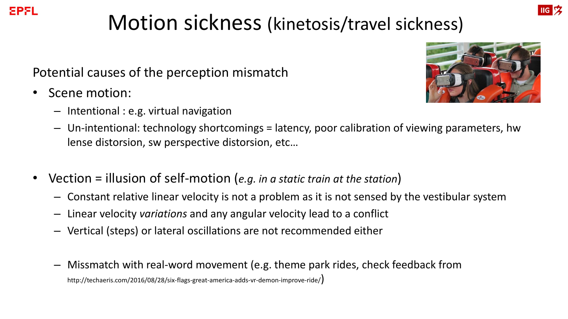# Motion sickness (kinetosis/travel sickness)

Potential causes of the perception mismatch

• Scene motion:

EPFL

– Intentional : e.g. virtual navigation



- Un-intentional: technology shortcomings = latency, poor calibration of viewing parameters, hw lense distorsion, sw perspective distorsion, etc…
- Vection = illusion of self-motion (*e.g. in a static train at the station*)
	- Constant relative linear velocity is not a problem as it is not sensed by the vestibular system
	- Linear velocity *variations* and any angular velocity lead to a conflict
	- Vertical (steps) or lateral oscillations are not recommended either
	- Missmatch with real-word movement (e.g. theme park rides, check feedback from http://techaeris.com/2016/08/28/six-flags-great-america-adds-vr-demon-improve-ride/)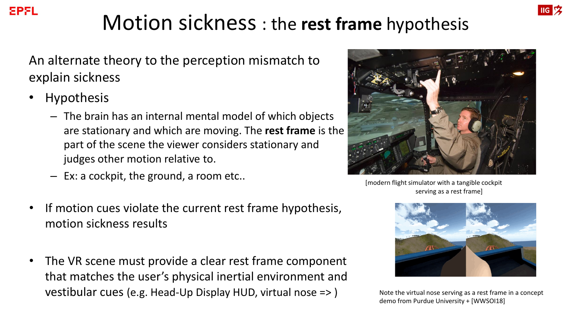#### **IIG**<sub>2</sub>

# Motion sickness : the **rest frame** hypothesis

An alternate theory to the perception mismatch to explain sickness

- **Hypothesis** 
	- The brain has an internal mental model of which objects are stationary and which are moving. The **rest frame** is the part of the scene the viewer considers stationary and judges other motion relative to.
	- Ex: a cockpit, the ground, a room etc..
- If motion cues violate the current rest frame hypothesis, motion sickness results
- The VR scene must provide a clear rest frame component that matches the user's physical inertial environment and vestibular cues (e.g. Head-Up Display HUD, virtual nose => )



[modern flight simulator with a tangible cockpit serving as a rest frame]



Note the virtual nose serving as a rest frame in a concept demo from Purdue University + [WWSOI18]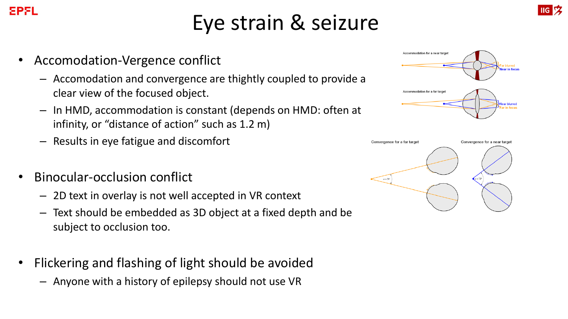## Eye strain & seizure

• Accomodation-Vergence conflict

EPFL

- Accomodation and convergence are thightly coupled to provide a clear view of the focused object.
- In HMD, accommodation is constant (depends on HMD: often at infinity, or "distance of action" such as 1.2 m)
- Results in eye fatigue and discomfort
- Binocular-occlusion conflict
	- 2D text in overlay is not well accepted in VR context
	- Text should be embedded as 3D object at a fixed depth and be subject to occlusion too.
- Flickering and flashing of light should be avoided
	- Anyone with a history of epilepsy should not use VR





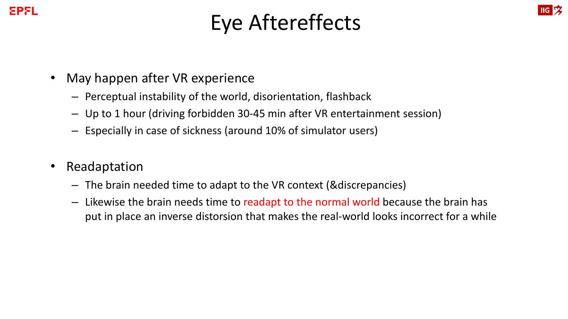#### EPFL

## Eye Aftereffects

**IIG**<sub>2</sub>

- May happen after VR experience
	- Perceptual instability of the world, disorientation, flashback
	- Up to 1 hour (driving forbidden 30-45 min after VR entertainment session)
	- Especially in case of sickness (around 10% of simulator users)
- **Readaptation** 
	- The brain needed time to adapt to the VR context (&discrepancies)
	- Likewise the brain needs time to readapt to the normal world because the brain has put in place an inverse distorsion that makes the real-world looks incorrect for a while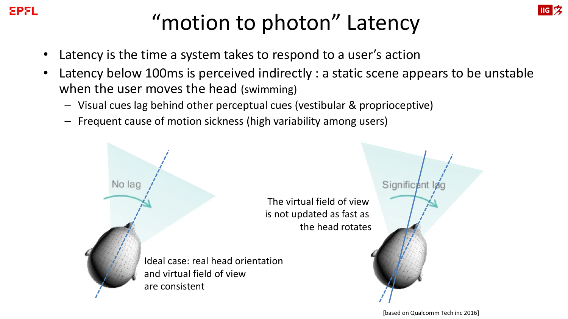

# "motion to photon" Latency

- Latency is the time a system takes to respond to a user's action
- Latency below 100ms is perceived indirectly : a static scene appears to be unstable when the user moves the head (swimming)
	- Visual cues lag behind other perceptual cues (vestibular & proprioceptive)
	- Frequent cause of motion sickness (high variability among users)

The virtual field of view is not updated as fast as the head rotates

Ideal case: real head orientation and virtual field of view are consistent

No lag

[based on Qualcomm Tech inc 2016]

Signific<sub>ant</sub>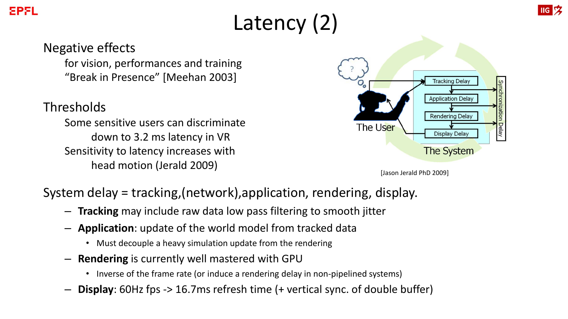# Latency (2)

#### Negative effects

for vision, performances and training "Break in Presence" [Meehan 2003]

#### **Thresholds**

Some sensitive users can discriminate down to 3.2 ms latency in VR Sensitivity to latency increases with head motion (Jerald 2009) **Figure 2009** [Jason Jerald PhD 2009]



#### System delay = tracking,(network),application, rendering, display.

- **Tracking** may include raw data low pass filtering to smooth jitter
- **Application**: update of the world model from tracked data
	- Must decouple a heavy simulation update from the rendering
- **Rendering** is currently well mastered with GPU
	- Inverse of the frame rate (or induce a rendering delay in non-pipelined systems)
- **Display**: 60Hz fps -> 16.7ms refresh time (+ vertical sync. of double buffer)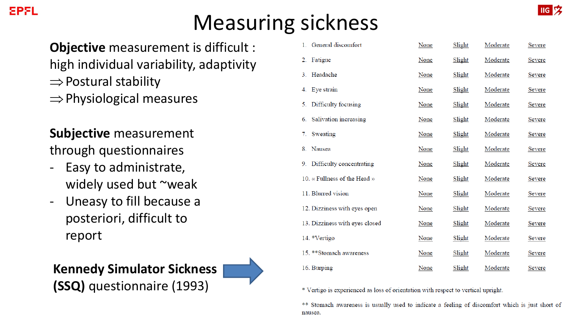## Measuring sickness

**Objective** measurement is difficult :

- high individual variability, adaptivity
- $\Rightarrow$  Postural stability
- $\Rightarrow$  Physiological measures

**Subjective** measurement through questionnaires

- Easy to administrate, widely used but ~weak
- Uneasy to fill because a posteriori, difficult to report



| 1. General discomfort          | <b>None</b> | Slight        | Moderate | <b>Severe</b> |
|--------------------------------|-------------|---------------|----------|---------------|
| Fatigue<br>2.                  | None        | Slight        | Moderate | <b>Severe</b> |
| 3. Headache                    | <b>None</b> | Slight        | Moderate | <b>Severe</b> |
| 4. Eye strain                  | <b>None</b> | <b>Slight</b> | Moderate | <b>Severe</b> |
| 5. Difficulty focusing         | <b>None</b> | Slight        | Moderate | <b>Severe</b> |
| 6. Salivation increasing       | None        | Slight        | Moderate | Severe        |
| 7. Sweating                    | None        | Slight        | Moderate | Severe        |
| Nausea<br>8.                   | None        | Slight        | Moderate | Severe        |
| 9. Difficulty concentrating    | <b>None</b> | Slight        | Moderate | Severe        |
| 10. « Fullness of the Head »   | <b>None</b> | Slight        | Moderate | <b>Severe</b> |
| 11. Blurred vision             | None        | Slight        | Moderate | Severe        |
| 12. Dizziness with eyes open   | None        | Slight        | Moderate | Severe        |
| 13. Dizziness with eyes closed | None        | Slight        | Moderate | Severe        |
| 14. *Vertigo                   | None        | Slight        | Moderate | Severe        |
| 15. ** Stomach awareness       | None        | Slight        | Moderate | Severe        |
| 16. Burping                    | None        | Slight        | Moderate | Severe        |

\* Vertigo is experienced as loss of orientation with respect to vertical upright.

\*\* Stomach awareness is usually used to indicate a feeling of discomfort which is just short of nausea.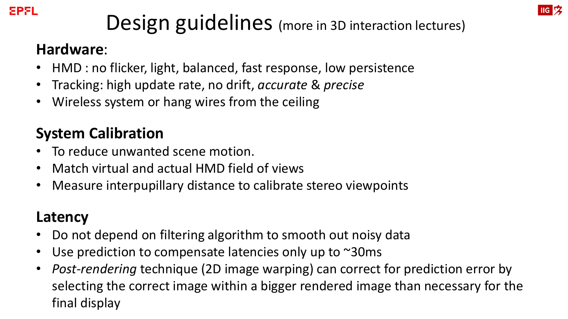# Design guidelines (more in 3D interaction lectures)

#### **Hardware**:

- HMD : no flicker, light, balanced, fast response, low persistence
- Tracking: high update rate, no drift, *accurate* & *precise*
- Wireless system or hang wires from the ceiling

### **System Calibration**

- To reduce unwanted scene motion.
- Match virtual and actual HMD field of views
- Measure interpupillary distance to calibrate stereo viewpoints

### **Latency**

- Do not depend on filtering algorithm to smooth out noisy data
- Use prediction to compensate latencies only up to  $\sim$ 30ms
- *Post-rendering* technique (2D image warping) can correct for prediction error by selecting the correct image within a bigger rendered image than necessary for the final display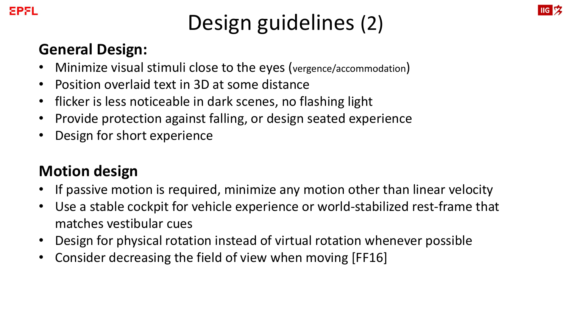

# Design guidelines (2)

**IIG**<sub>2</sub>

### **General Design:**

- Minimize visual stimuli close to the eyes (vergence/accommodation)
- Position overlaid text in 3D at some distance
- flicker is less noticeable in dark scenes, no flashing light
- Provide protection against falling, or design seated experience
- Design for short experience

### **Motion design**

- If passive motion is required, minimize any motion other than linear velocity
- Use a stable cockpit for vehicle experience or world-stabilized rest-frame that matches vestibular cues
- Design for physical rotation instead of virtual rotation whenever possible
- Consider decreasing the field of view when moving [FF16]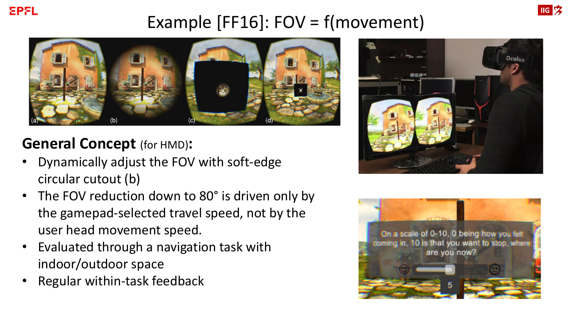

### Example [FF16]: FOV = f(movement)



### **General Concept** (for HMD)**:**

- Dynamically adjust the FOV with soft-edge circular cutout (b)
- The FOV reduction down to 80° is driven only by the gamepad-selected travel speed, not by the user head movement speed.
- Evaluated through a navigation task with indoor/outdoor space
- Regular within-task feedback



**IIG**<sub>2</sub>

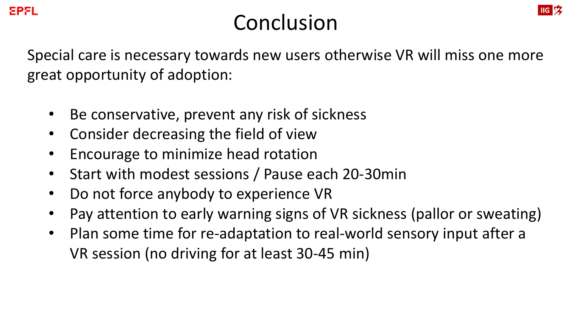

## Conclusion

**IIG**<sub>2</sub>

Special care is necessary towards new users otherwise VR will miss one more great opportunity of adoption:

- Be conservative, prevent any risk of sickness
- Consider decreasing the field of view
- Encourage to minimize head rotation
- Start with modest sessions / Pause each 20-30min
- Do not force anybody to experience VR
- Pay attention to early warning signs of VR sickness (pallor or sweating)
- Plan some time for re-adaptation to real-world sensory input after a VR session (no driving for at least 30-45 min)